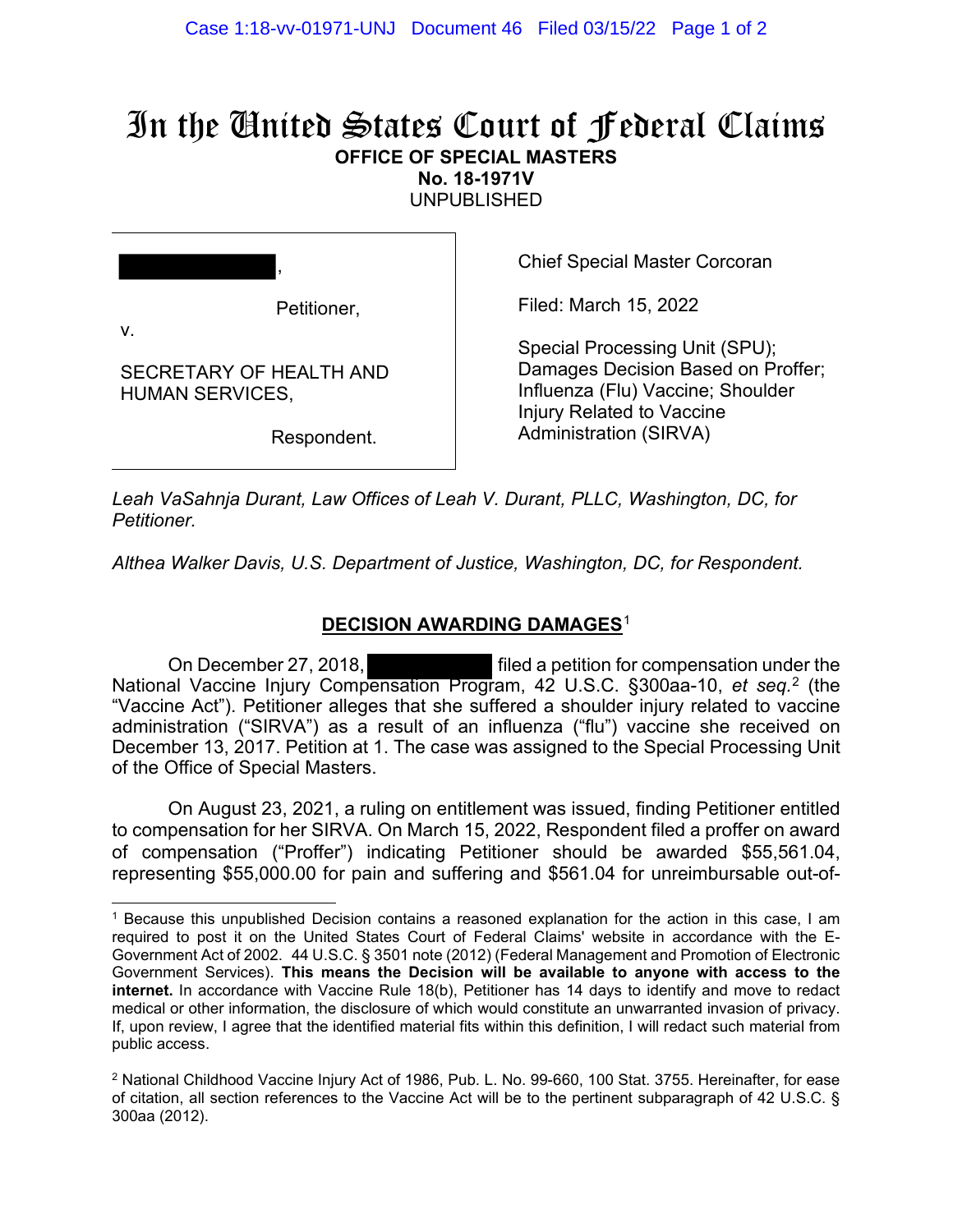## In the United States Court of Federal Claims **OFFICE OF SPECIAL MASTERS**

**No. 18-1971V** 

UNPUBLISHED

| л,                            |
|-------------------------------|
|                               |
| $\mathbf{m}$ and $\mathbf{m}$ |

Petitioner,

Chief Special Master Corcoran

Filed: March 15, 2022

v.

SECRETARY OF HEALTH AND HUMAN SERVICES,

Respondent.

Special Processing Unit (SPU); Damages Decision Based on Proffer; Influenza (Flu) Vaccine; Shoulder Injury Related to Vaccine Administration (SIRVA)

*Leah VaSahnja Durant, Law Offices of Leah V. Durant, PLLC, Washington, DC, for Petitioner.*

*Althea Walker Davis, U.S. Department of Justice, Washington, DC, for Respondent.*

## **DECISION AWARDING DAMAGES**<sup>1</sup>

On December 27, 2018, filed a petition for compensation under the National Vaccine Injury Compensation Program, 42 U.S.C. §300aa-10, *et seq.*<sup>2</sup> (the "Vaccine Act"). Petitioner alleges that she suffered a shoulder injury related to vaccine administration ("SIRVA") as a result of an influenza ("flu") vaccine she received on December 13, 2017. Petition at 1. The case was assigned to the Special Processing Unit of the Office of Special Masters.

On August 23, 2021, a ruling on entitlement was issued, finding Petitioner entitled to compensation for her SIRVA. On March 15, 2022, Respondent filed a proffer on award of compensation ("Proffer") indicating Petitioner should be awarded \$55,561.04, representing \$55,000.00 for pain and suffering and \$561.04 for unreimbursable out-of-

<sup>1</sup> Because this unpublished Decision contains a reasoned explanation for the action in this case, I am required to post it on the United States Court of Federal Claims' website in accordance with the E-Government Act of 2002. 44 U.S.C. § 3501 note (2012) (Federal Management and Promotion of Electronic Government Services). **This means the Decision will be available to anyone with access to the internet.** In accordance with Vaccine Rule 18(b), Petitioner has 14 days to identify and move to redact medical or other information, the disclosure of which would constitute an unwarranted invasion of privacy. If, upon review, I agree that the identified material fits within this definition, I will redact such material from public access.

<sup>2</sup> National Childhood Vaccine Injury Act of 1986, Pub. L. No. 99-660, 100 Stat. 3755. Hereinafter, for ease of citation, all section references to the Vaccine Act will be to the pertinent subparagraph of 42 U.S.C. § 300aa (2012).